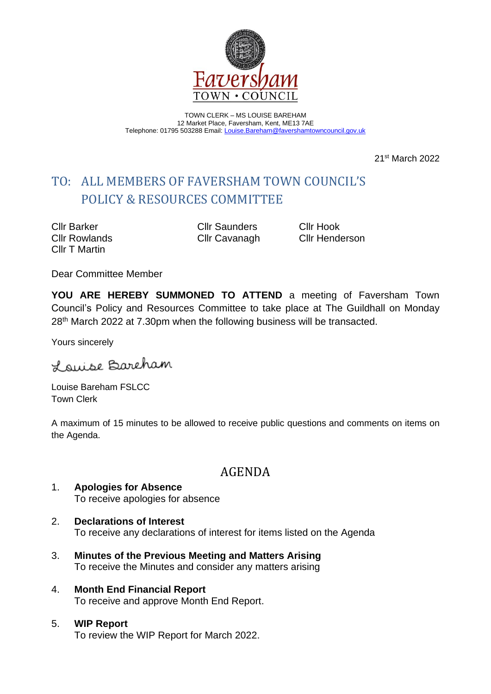

TOWN CLERK – MS LOUISE BAREHAM 12 Market Place, Faversham, Kent, ME13 7AE Telephone: 01795 503288 Email: [Louise.Bareham@favershamtowncouncil.gov.uk](mailto:Louise.Bareham@favershamtowncouncil.gov.uk)

21st March 2022

# TO: ALL MEMBERS OF FAVERSHAM TOWN COUNCIL'S POLICY & RESOURCES COMMITTEE

Cllr Barker Cllr Saunders Cllr Hook Cllr T Martin

Cllr Rowlands Cllr Cavanagh Cllr Henderson

Dear Committee Member

**YOU ARE HEREBY SUMMONED TO ATTEND** a meeting of Faversham Town Council's Policy and Resources Committee to take place at The Guildhall on Monday 28th March 2022 at 7.30pm when the following business will be transacted.

Yours sincerely

Lauise Bareham

Louise Bareham FSLCC Town Clerk

A maximum of 15 minutes to be allowed to receive public questions and comments on items on the Agenda.

# AGENDA

- 1. **Apologies for Absence** To receive apologies for absence
- 2. **Declarations of Interest** To receive any declarations of interest for items listed on the Agenda
- 3. **Minutes of the Previous Meeting and Matters Arising** To receive the Minutes and consider any matters arising
- 4. **Month End Financial Report** To receive and approve Month End Report.
- 5. **WIP Report** To review the WIP Report for March 2022.